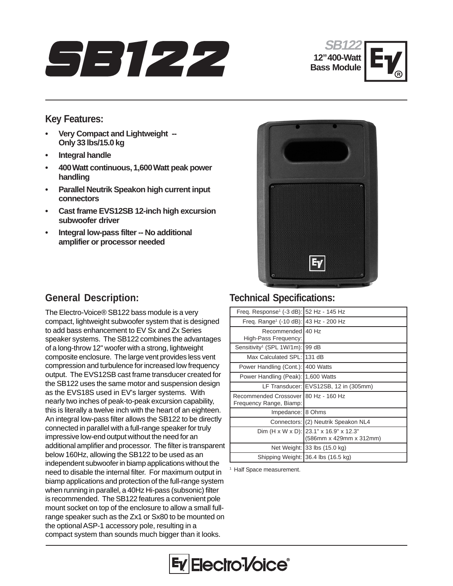





### **Key Features:**

- **Very Compact and Lightweight -- Only 33 lbs/15.0 kg**
- **Integral handle**
- **400 Watt continuous, 1,600 Watt peak power handling**
- **Parallel Neutrik Speakon high current input connectors**
- **Cast frame EVS12SB 12-inch high excursion subwoofer driver**
- **Integral low-pass filter -- No additional amplifier or processor needed**



# **General Description:**

The Electro-Voice® SB122 bass module is a very compact, lightweight subwoofer system that is designed to add bass enhancement to EV Sx and Zx Series speaker systems. The SB122 combines the advantages of a long-throw 12" woofer with a strong, lightweight composite enclosure. The large vent provides less vent compression and turbulence for increased low frequency output. The EVS12SB cast frame transducer created for the SB122 uses the same motor and suspension design as the EVS18S used in EV's larger systems. With nearly two inches of peak-to-peak excursion capability, this is literally a twelve inch with the heart of an eighteen. An integral low-pass filter allows the SB122 to be directly connected in parallel with a full-range speaker for truly impressive low-end output without the need for an additional amplifier and processor. The filter is transparent below 160Hz, allowing the SB122 to be used as an independent subwoofer in biamp applications without the need to disable the internal filter. For maximum output in biamp applications and protection of the full-range system when running in parallel, a 40Hz Hi-pass (subsonic) filter is recommended. The SB122 features a convenient pole mount socket on top of the enclosure to allow a small fullrange speaker such as the Zx1 or Sx80 to be mounted on the optional ASP-1 accessory pole, resulting in a compact system than sounds much bigger than it looks.

## **Technical Specifications:**

| Freq. Response <sup>1</sup> (-3 dB):              | 52 Hz - 145 Hz                         |
|---------------------------------------------------|----------------------------------------|
| Freq. Range <sup>1</sup> (-10 dB): 43 Hz - 200 Hz |                                        |
| Recommended                                       | 40 Hz                                  |
| High-Pass Frequency:                              |                                        |
| Sensitivity <sup>1</sup> (SPL 1W/1m):             | 99 dB                                  |
| Max Calculated SPL: 131 dB                        |                                        |
| Power Handling (Cont.):                           | 400 Watts                              |
| Power Handling (Peak):                            | 1,600 Watts                            |
|                                                   | LF Transducer: EVS12SB, 12 in (305mm)  |
| Recommended Crossover I                           | 80 Hz - 160 Hz                         |
| Frequency Range, Biamp:                           |                                        |
| Impedance:                                        | 8 Ohms                                 |
|                                                   | Connectors: (2) Neutrik Speakon NL4    |
|                                                   | Dim (H x W x D): 23.1" x 16.9" x 12.3" |
|                                                   | (586mm x 429mm x 312mm)                |
|                                                   | Net Weight: 33 lbs (15.0 kg)           |
|                                                   | Shipping Weight: 36.4 lbs (16.5 kg)    |

<sup>1</sup> Half Space measurement.